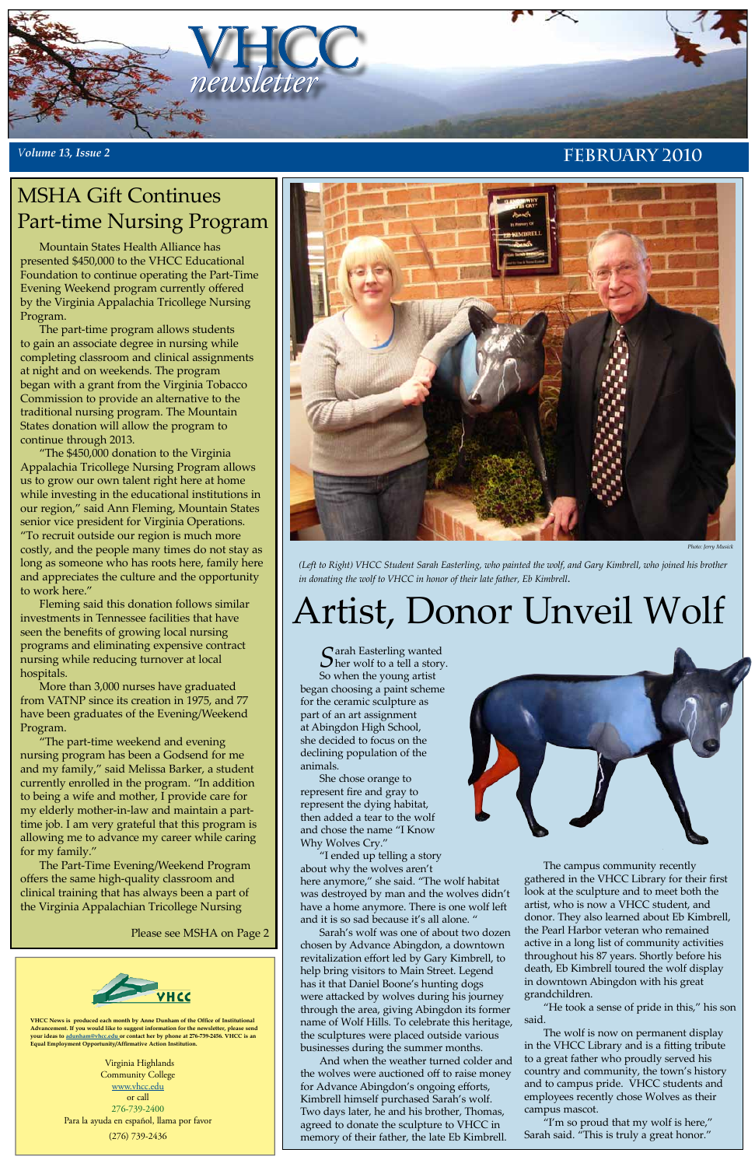

#### *<sup>V</sup>olume 13, Issue 2* **February 2010**

**VHCC News is produced each month by Anne Dunham of the Office of Institutional Advancement. If you would like to suggest information for the newsletter, please send your ideas to [adunham@vhcc.edu or](mailto:adunham@vhcc.edu) contact her by phone at 276-739-2456. VHCC is an Equal Employment Opportunity/Affirmative Action Institution.**

> Virginia Highlands Community College [www.vhcc.edu](http://www.vhcc.edu) or call 276-739-2400 Para la ayuda en español, llama por favor (276) 739-2436

Mountain States Health Alliance has presented \$450,000 to the VHCC Educational Foundation to continue operating the Part-Time Evening Weekend program currently offered by the Virginia Appalachia Tricollege Nursing Program.

The part-time program allows students to gain an associate degree in nursing while completing classroom and clinical assignments at night and on weekends. The program began with a grant from the Virginia Tobacco Commission to provide an alternative to the traditional nursing program. The Mountain States donation will allow the program to continue through 2013.

"The \$450,000 donation to the Virginia Appalachia Tricollege Nursing Program allows us to grow our own talent right here at home while investing in the educational institutions in our region," said Ann Fleming, Mountain States senior vice president for Virginia Operations. "To recruit outside our region is much more costly, and the people many times do not stay as long as someone who has roots here, family here and appreciates the culture and the opportunity to work here."

> Sarah Easterling wanted<br>Sher wolf to a tell a story. So when the young artist began choosing a paint scheme for the ceramic sculpture as part of an art assignment at Abingdon High School, she decided to focus on the declining population of the animals.

Fleming said this donation follows similar investments in Tennessee facilities that have seen the benefits of growing local nursing programs and eliminating expensive contract nursing while reducing turnover at local hospitals.

More than 3,000 nurses have graduated from VATNP since its creation in 1975, and 77 have been graduates of the Evening/Weekend Program.

"The part-time weekend and evening nursing program has been a Godsend for me and my family," said Melissa Barker, a student currently enrolled in the program. "In addition to being a wife and mother, I provide care for my elderly mother-in-law and maintain a parttime job. I am very grateful that this program is allowing me to advance my career while caring for my family."



The Part-Time Evening/Weekend Program offers the same high-quality classroom and clinical training that has always been a part of the Virginia Appalachian Tricollege Nursing

## MSHA Gift Continues Part-time Nursing Program

Please see MSHA on Page 2



# Artist, Donor Unveil Wolf

*Photo: Jerry Musick*

She chose orange to represent fire and gray to represent the dying habitat, then added a tear to the wolf and chose the name "I Know Why Wolves Cry."

"I ended up telling a story about why the wolves aren't here anymore," she said. "The wolf habitat was destroyed by man and the wolves didn't have a home anymore. There is one wolf left and it is so sad because it's all alone. " Sarah's wolf was one of about two dozen chosen by Advance Abingdon, a downtown revitalization effort led by Gary Kimbrell, to help bring visitors to Main Street. Legend has it that Daniel Boone's hunting dogs were attacked by wolves during his journey through the area, giving Abingdon its former name of Wolf Hills. To celebrate this heritage, the sculptures were placed outside various businesses during the summer months. And when the weather turned colder and the wolves were auctioned off to raise money for Advance Abingdon's ongoing efforts, Kimbrell himself purchased Sarah's wolf. Two days later, he and his brother, Thomas, agreed to donate the sculpture to VHCC in memory of their father, the late Eb Kimbrell.



The campus community recently gathered in the VHCC Library for their first look at the sculpture and to meet both the artist, who is now a VHCC student, and donor. They also learned about Eb Kimbrell, the Pearl Harbor veteran who remained active in a long list of community activities throughout his 87 years. Shortly before his death, Eb Kimbrell toured the wolf display in downtown Abingdon with his great grandchildren.

"He took a sense of pride in this," his son said.

The wolf is now on permanent display in the VHCC Library and is a fitting tribute to a great father who proudly served his country and community, the town's history and to campus pride. VHCC students and employees recently chose Wolves as their campus mascot.

"I'm so proud that my wolf is here," Sarah said. "This is truly a great honor."

*(Left to Right) VHCC Student Sarah Easterling, who painted the wolf, and Gary Kimbrell, who joined his brother in donating the wolf to VHCC in honor of their late father, Eb Kimbrell*.